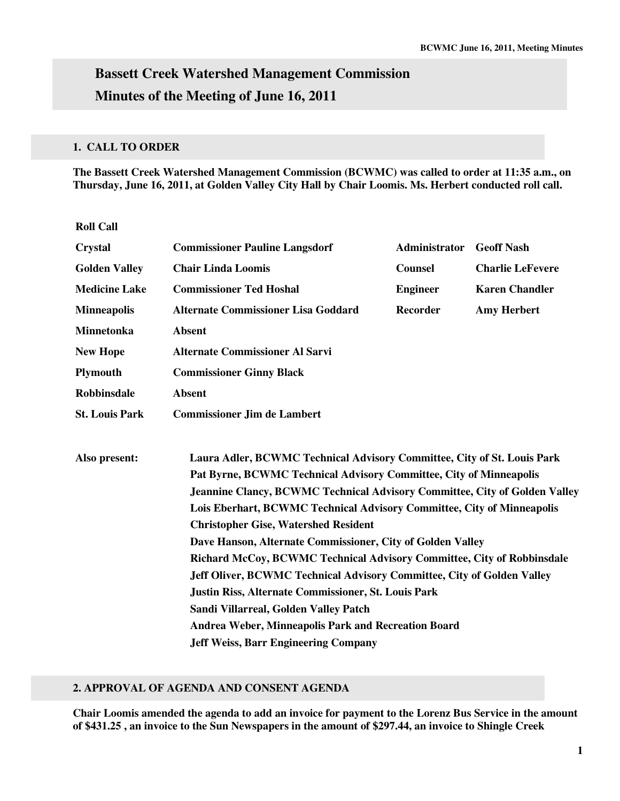# **Bassett Creek Watershed Management Commission Minutes of the Meeting of June 16, 2011**

## **1. CALL TO ORDER**

**The Bassett Creek Watershed Management Commission (BCWMC) was called to order at 11:35 a.m., on Thursday, June 16, 2011, at Golden Valley City Hall by Chair Loomis. Ms. Herbert conducted roll call.** 

**Roll Call** 

| <b>Crystal</b>        | <b>Commissioner Pauline Langsdorf</b>                                                                                                                                                                                              | <b>Administrator</b> | <b>Geoff Nash</b>       |  |  |  |                                                                        |  |  |
|-----------------------|------------------------------------------------------------------------------------------------------------------------------------------------------------------------------------------------------------------------------------|----------------------|-------------------------|--|--|--|------------------------------------------------------------------------|--|--|
| <b>Golden Valley</b>  | <b>Chair Linda Loomis</b>                                                                                                                                                                                                          | <b>Counsel</b>       | <b>Charlie LeFevere</b> |  |  |  |                                                                        |  |  |
| <b>Medicine Lake</b>  | <b>Commissioner Ted Hoshal</b>                                                                                                                                                                                                     | <b>Engineer</b>      | <b>Karen Chandler</b>   |  |  |  |                                                                        |  |  |
| <b>Minneapolis</b>    | <b>Alternate Commissioner Lisa Goddard</b>                                                                                                                                                                                         | <b>Recorder</b>      | <b>Amy Herbert</b>      |  |  |  |                                                                        |  |  |
| <b>Minnetonka</b>     | <b>Absent</b>                                                                                                                                                                                                                      |                      |                         |  |  |  |                                                                        |  |  |
| <b>New Hope</b>       | <b>Alternate Commissioner Al Sarvi</b>                                                                                                                                                                                             |                      |                         |  |  |  |                                                                        |  |  |
| <b>Plymouth</b>       | <b>Commissioner Ginny Black</b>                                                                                                                                                                                                    |                      |                         |  |  |  |                                                                        |  |  |
| <b>Robbinsdale</b>    | <b>Absent</b>                                                                                                                                                                                                                      |                      |                         |  |  |  |                                                                        |  |  |
| <b>St. Louis Park</b> | <b>Commissioner Jim de Lambert</b>                                                                                                                                                                                                 |                      |                         |  |  |  |                                                                        |  |  |
|                       |                                                                                                                                                                                                                                    |                      |                         |  |  |  |                                                                        |  |  |
| Also present:         | Laura Adler, BCWMC Technical Advisory Committee, City of St. Louis Park<br>Pat Byrne, BCWMC Technical Advisory Committee, City of Minneapolis<br><b>Jeannine Clancy, BCWMC Technical Advisory Committee, City of Golden Valley</b> |                      |                         |  |  |  |                                                                        |  |  |
|                       |                                                                                                                                                                                                                                    |                      |                         |  |  |  | Lois Eberhart, BCWMC Technical Advisory Committee, City of Minneapolis |  |  |
|                       |                                                                                                                                                                                                                                    |                      |                         |  |  |  | <b>Christopher Gise, Watershed Resident</b>                            |  |  |
|                       | Dave Hanson, Alternate Commissioner, City of Golden Valley                                                                                                                                                                         |                      |                         |  |  |  |                                                                        |  |  |
|                       | Richard McCoy, BCWMC Technical Advisory Committee, City of Robbinsdale                                                                                                                                                             |                      |                         |  |  |  |                                                                        |  |  |
|                       | Jeff Oliver, BCWMC Technical Advisory Committee, City of Golden Valley<br><b>Justin Riss, Alternate Commissioner, St. Louis Park</b>                                                                                               |                      |                         |  |  |  |                                                                        |  |  |
|                       |                                                                                                                                                                                                                                    |                      |                         |  |  |  |                                                                        |  |  |
|                       | Sandi Villarreal, Golden Valley Patch                                                                                                                                                                                              |                      |                         |  |  |  |                                                                        |  |  |
|                       | Andrea Weber, Minneapolis Park and Recreation Board                                                                                                                                                                                |                      |                         |  |  |  |                                                                        |  |  |
|                       | <b>Jeff Weiss, Barr Engineering Company</b>                                                                                                                                                                                        |                      |                         |  |  |  |                                                                        |  |  |

## **2. APPROVAL OF AGENDA AND CONSENT AGENDA**

**Chair Loomis amended the agenda to add an invoice for payment to the Lorenz Bus Service in the amount of \$431.25 , an invoice to the Sun Newspapers in the amount of \$297.44, an invoice to Shingle Creek**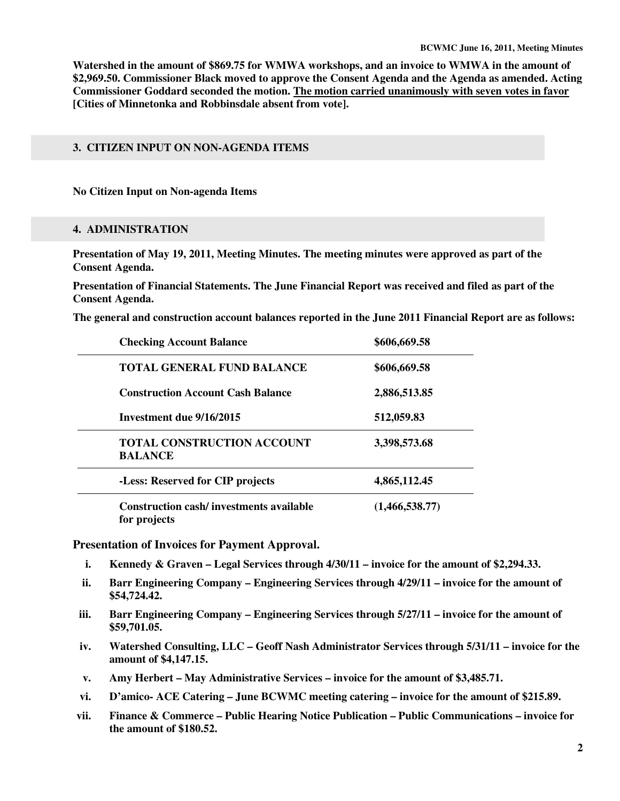**Watershed in the amount of \$869.75 for WMWA workshops, and an invoice to WMWA in the amount of \$2,969.50. Commissioner Black moved to approve the Consent Agenda and the Agenda as amended. Acting Commissioner Goddard seconded the motion. The motion carried unanimously with seven votes in favor [Cities of Minnetonka and Robbinsdale absent from vote].** 

## **3. CITIZEN INPUT ON NON-AGENDA ITEMS**

**No Citizen Input on Non-agenda Items** 

#### **4. ADMINISTRATION**

**Presentation of May 19, 2011, Meeting Minutes. The meeting minutes were approved as part of the Consent Agenda.** 

**Presentation of Financial Statements. The June Financial Report was received and filed as part of the Consent Agenda.** 

**The general and construction account balances reported in the June 2011 Financial Report are as follows:** 

| <b>Checking Account Balance</b>                                | \$606,669.58   |
|----------------------------------------------------------------|----------------|
| <b>TOTAL GENERAL FUND BALANCE</b>                              | \$606,669.58   |
| <b>Construction Account Cash Balance</b>                       | 2,886,513.85   |
| Investment due 9/16/2015                                       | 512,059.83     |
| <b>TOTAL CONSTRUCTION ACCOUNT</b><br><b>BALANCE</b>            | 3,398,573.68   |
| -Less: Reserved for CIP projects                               | 4,865,112.45   |
| <b>Construction cash/investments available</b><br>for projects | (1,466,538.77) |

**Presentation of Invoices for Payment Approval.** 

- **i. Kennedy & Graven Legal Services through 4/30/11 invoice for the amount of \$2,294.33.**
- **ii. Barr Engineering Company Engineering Services through 4/29/11 invoice for the amount of \$54,724.42.**
- **iii. Barr Engineering Company Engineering Services through 5/27/11 invoice for the amount of \$59,701.05.**
- **iv. Watershed Consulting, LLC Geoff Nash Administrator Services through 5/31/11 invoice for the amount of \$4,147.15.**
- **v. Amy Herbert May Administrative Services invoice for the amount of \$3,485.71.**
- **vi. D'amico- ACE Catering June BCWMC meeting catering invoice for the amount of \$215.89.**
- **vii. Finance & Commerce Public Hearing Notice Publication Public Communications invoice for the amount of \$180.52.**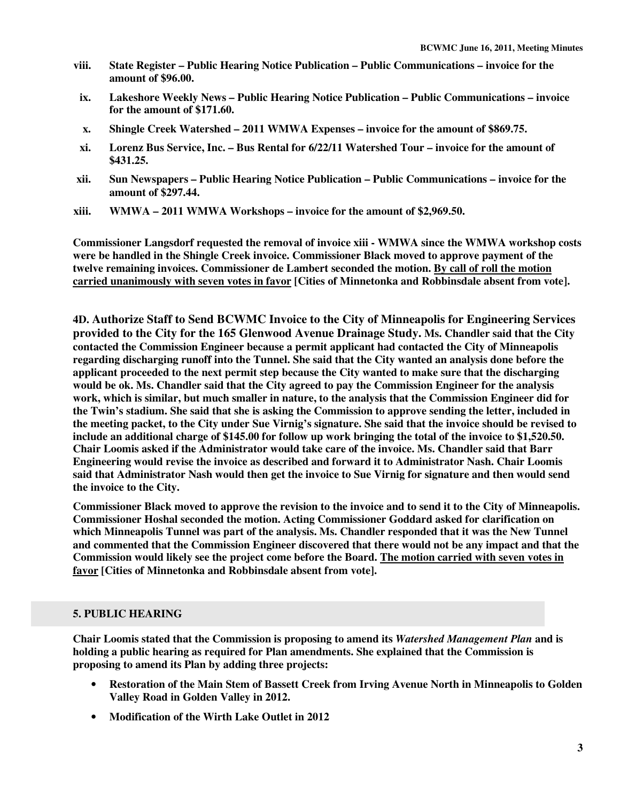- **viii. State Register Public Hearing Notice Publication Public Communications invoice for the amount of \$96.00.**
- **ix. Lakeshore Weekly News Public Hearing Notice Publication Public Communications invoice for the amount of \$171.60.**
- **x. Shingle Creek Watershed 2011 WMWA Expenses invoice for the amount of \$869.75.**
- **xi. Lorenz Bus Service, Inc. Bus Rental for 6/22/11 Watershed Tour invoice for the amount of \$431.25.**
- **xii. Sun Newspapers Public Hearing Notice Publication Public Communications invoice for the amount of \$297.44.**
- **xiii. WMWA 2011 WMWA Workshops invoice for the amount of \$2,969.50.**

**Commissioner Langsdorf requested the removal of invoice xiii - WMWA since the WMWA workshop costs were be handled in the Shingle Creek invoice. Commissioner Black moved to approve payment of the twelve remaining invoices. Commissioner de Lambert seconded the motion. By call of roll the motion carried unanimously with seven votes in favor [Cities of Minnetonka and Robbinsdale absent from vote].** 

**4D. Authorize Staff to Send BCWMC Invoice to the City of Minneapolis for Engineering Services provided to the City for the 165 Glenwood Avenue Drainage Study. Ms. Chandler said that the City contacted the Commission Engineer because a permit applicant had contacted the City of Minneapolis regarding discharging runoff into the Tunnel. She said that the City wanted an analysis done before the applicant proceeded to the next permit step because the City wanted to make sure that the discharging would be ok. Ms. Chandler said that the City agreed to pay the Commission Engineer for the analysis work, which is similar, but much smaller in nature, to the analysis that the Commission Engineer did for the Twin's stadium. She said that she is asking the Commission to approve sending the letter, included in the meeting packet, to the City under Sue Virnig's signature. She said that the invoice should be revised to include an additional charge of \$145.00 for follow up work bringing the total of the invoice to \$1,520.50. Chair Loomis asked if the Administrator would take care of the invoice. Ms. Chandler said that Barr Engineering would revise the invoice as described and forward it to Administrator Nash. Chair Loomis said that Administrator Nash would then get the invoice to Sue Virnig for signature and then would send the invoice to the City.** 

**Commissioner Black moved to approve the revision to the invoice and to send it to the City of Minneapolis. Commissioner Hoshal seconded the motion. Acting Commissioner Goddard asked for clarification on which Minneapolis Tunnel was part of the analysis. Ms. Chandler responded that it was the New Tunnel and commented that the Commission Engineer discovered that there would not be any impact and that the Commission would likely see the project come before the Board. The motion carried with seven votes in favor [Cities of Minnetonka and Robbinsdale absent from vote].** 

#### **5. PUBLIC HEARING**

**Chair Loomis stated that the Commission is proposing to amend its** *Watershed Management Plan* **and is holding a public hearing as required for Plan amendments. She explained that the Commission is proposing to amend its Plan by adding three projects:** 

- **Restoration of the Main Stem of Bassett Creek from Irving Avenue North in Minneapolis to Golden Valley Road in Golden Valley in 2012.**
- **Modification of the Wirth Lake Outlet in 2012**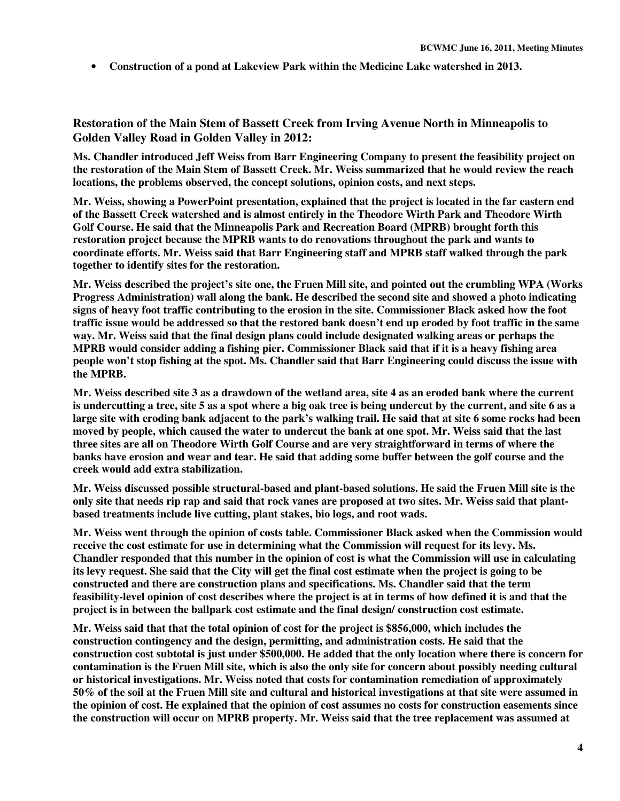• **Construction of a pond at Lakeview Park within the Medicine Lake watershed in 2013.** 

**Restoration of the Main Stem of Bassett Creek from Irving Avenue North in Minneapolis to Golden Valley Road in Golden Valley in 2012:** 

**Ms. Chandler introduced Jeff Weiss from Barr Engineering Company to present the feasibility project on the restoration of the Main Stem of Bassett Creek. Mr. Weiss summarized that he would review the reach locations, the problems observed, the concept solutions, opinion costs, and next steps.** 

**Mr. Weiss, showing a PowerPoint presentation, explained that the project is located in the far eastern end of the Bassett Creek watershed and is almost entirely in the Theodore Wirth Park and Theodore Wirth Golf Course. He said that the Minneapolis Park and Recreation Board (MPRB) brought forth this restoration project because the MPRB wants to do renovations throughout the park and wants to coordinate efforts. Mr. Weiss said that Barr Engineering staff and MPRB staff walked through the park together to identify sites for the restoration.** 

**Mr. Weiss described the project's site one, the Fruen Mill site, and pointed out the crumbling WPA (Works Progress Administration) wall along the bank. He described the second site and showed a photo indicating signs of heavy foot traffic contributing to the erosion in the site. Commissioner Black asked how the foot traffic issue would be addressed so that the restored bank doesn't end up eroded by foot traffic in the same way. Mr. Weiss said that the final design plans could include designated walking areas or perhaps the MPRB would consider adding a fishing pier. Commissioner Black said that if it is a heavy fishing area people won't stop fishing at the spot. Ms. Chandler said that Barr Engineering could discuss the issue with the MPRB.** 

**Mr. Weiss described site 3 as a drawdown of the wetland area, site 4 as an eroded bank where the current is undercutting a tree, site 5 as a spot where a big oak tree is being undercut by the current, and site 6 as a large site with eroding bank adjacent to the park's walking trail. He said that at site 6 some rocks had been moved by people, which caused the water to undercut the bank at one spot. Mr. Weiss said that the last three sites are all on Theodore Wirth Golf Course and are very straightforward in terms of where the banks have erosion and wear and tear. He said that adding some buffer between the golf course and the creek would add extra stabilization.** 

**Mr. Weiss discussed possible structural-based and plant-based solutions. He said the Fruen Mill site is the only site that needs rip rap and said that rock vanes are proposed at two sites. Mr. Weiss said that plantbased treatments include live cutting, plant stakes, bio logs, and root wads.** 

**Mr. Weiss went through the opinion of costs table. Commissioner Black asked when the Commission would receive the cost estimate for use in determining what the Commission will request for its levy. Ms. Chandler responded that this number in the opinion of cost is what the Commission will use in calculating its levy request. She said that the City will get the final cost estimate when the project is going to be constructed and there are construction plans and specifications. Ms. Chandler said that the term feasibility-level opinion of cost describes where the project is at in terms of how defined it is and that the project is in between the ballpark cost estimate and the final design/ construction cost estimate.** 

**Mr. Weiss said that that the total opinion of cost for the project is \$856,000, which includes the construction contingency and the design, permitting, and administration costs. He said that the construction cost subtotal is just under \$500,000. He added that the only location where there is concern for contamination is the Fruen Mill site, which is also the only site for concern about possibly needing cultural or historical investigations. Mr. Weiss noted that costs for contamination remediation of approximately 50% of the soil at the Fruen Mill site and cultural and historical investigations at that site were assumed in the opinion of cost. He explained that the opinion of cost assumes no costs for construction easements since the construction will occur on MPRB property. Mr. Weiss said that the tree replacement was assumed at**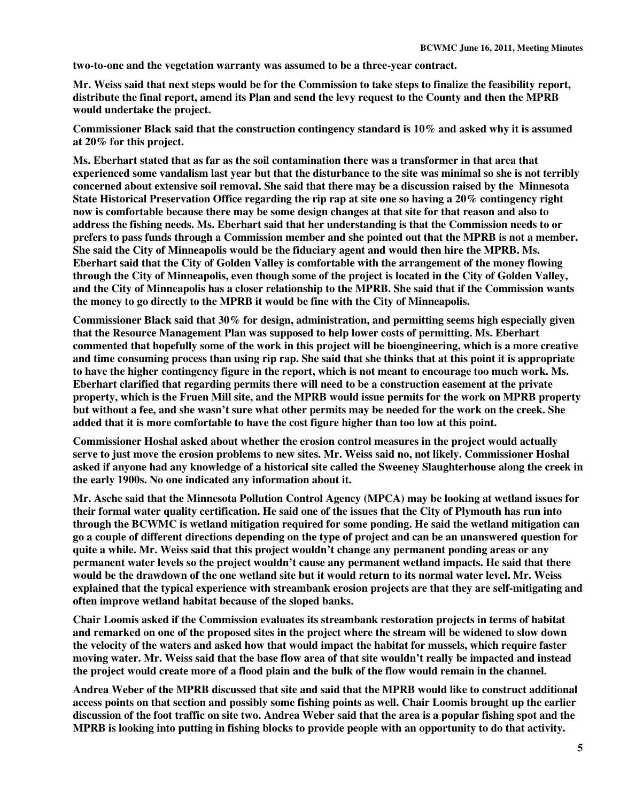**two-to-one and the vegetation warranty was assumed to be a three-year contract.** 

**Mr. Weiss said that next steps would be for the Commission to take steps to finalize the feasibility report, distribute the final report, amend its Plan and send the levy request to the County and then the MPRB would undertake the project.** 

**Commissioner Black said that the construction contingency standard is 10% and asked why it is assumed at 20% for this project.** 

**Ms. Eberhart stated that as far as the soil contamination there was a transformer in that area that experienced some vandalism last year but that the disturbance to the site was minimal so she is not terribly concerned about extensive soil removal. She said that there may be a discussion raised by the Minnesota State Historical Preservation Office regarding the rip rap at site one so having a 20% contingency right now is comfortable because there may be some design changes at that site for that reason and also to address the fishing needs. Ms. Eberhart said that her understanding is that the Commission needs to or prefers to pass funds through a Commission member and she pointed out that the MPRB is not a member. She said the City of Minneapolis would be the fiduciary agent and would then hire the MPRB. Ms. Eberhart said that the City of Golden Valley is comfortable with the arrangement of the money flowing through the City of Minneapolis, even though some of the project is located in the City of Golden Valley, and the City of Minneapolis has a closer relationship to the MPRB. She said that if the Commission wants the money to go directly to the MPRB it would be fine with the City of Minneapolis.** 

**Commissioner Black said that 30% for design, administration, and permitting seems high especially given that the Resource Management Plan was supposed to help lower costs of permitting. Ms. Eberhart commented that hopefully some of the work in this project will be bioengineering, which is a more creative and time consuming process than using rip rap. She said that she thinks that at this point it is appropriate to have the higher contingency figure in the report, which is not meant to encourage too much work. Ms. Eberhart clarified that regarding permits there will need to be a construction easement at the private property, which is the Fruen Mill site, and the MPRB would issue permits for the work on MPRB property but without a fee, and she wasn't sure what other permits may be needed for the work on the creek. She added that it is more comfortable to have the cost figure higher than too low at this point.** 

**Commissioner Hoshal asked about whether the erosion control measures in the project would actually serve to just move the erosion problems to new sites. Mr. Weiss said no, not likely. Commissioner Hoshal asked if anyone had any knowledge of a historical site called the Sweeney Slaughterhouse along the creek in the early 1900s. No one indicated any information about it.** 

**Mr. Asche said that the Minnesota Pollution Control Agency (MPCA) may be looking at wetland issues for their formal water quality certification. He said one of the issues that the City of Plymouth has run into through the BCWMC is wetland mitigation required for some ponding. He said the wetland mitigation can go a couple of different directions depending on the type of project and can be an unanswered question for quite a while. Mr. Weiss said that this project wouldn't change any permanent ponding areas or any permanent water levels so the project wouldn't cause any permanent wetland impacts. He said that there would be the drawdown of the one wetland site but it would return to its normal water level. Mr. Weiss explained that the typical experience with streambank erosion projects are that they are self-mitigating and often improve wetland habitat because of the sloped banks.** 

**Chair Loomis asked if the Commission evaluates its streambank restoration projects in terms of habitat and remarked on one of the proposed sites in the project where the stream will be widened to slow down the velocity of the waters and asked how that would impact the habitat for mussels, which require faster moving water. Mr. Weiss said that the base flow area of that site wouldn't really be impacted and instead the project would create more of a flood plain and the bulk of the flow would remain in the channel.** 

**Andrea Weber of the MPRB discussed that site and said that the MPRB would like to construct additional access points on that section and possibly some fishing points as well. Chair Loomis brought up the earlier discussion of the foot traffic on site two. Andrea Weber said that the area is a popular fishing spot and the MPRB is looking into putting in fishing blocks to provide people with an opportunity to do that activity.**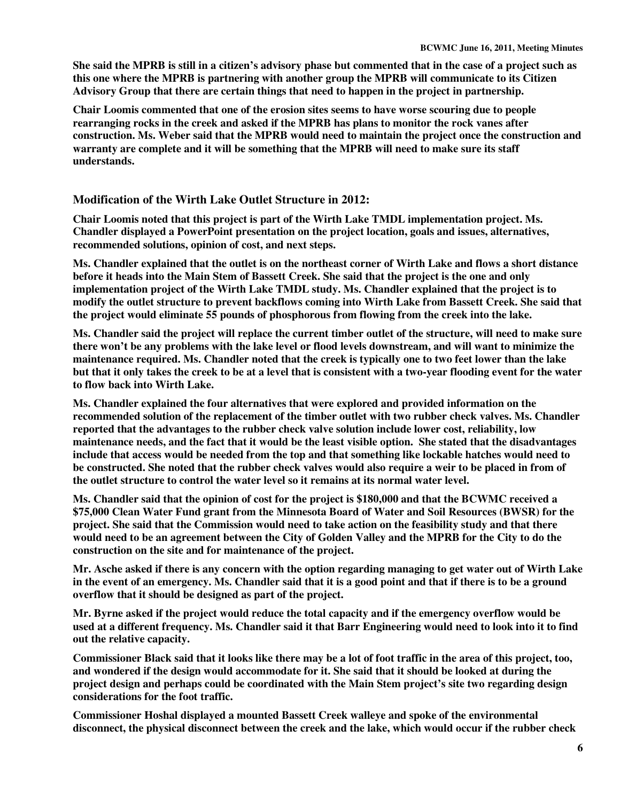**She said the MPRB is still in a citizen's advisory phase but commented that in the case of a project such as this one where the MPRB is partnering with another group the MPRB will communicate to its Citizen Advisory Group that there are certain things that need to happen in the project in partnership.** 

**Chair Loomis commented that one of the erosion sites seems to have worse scouring due to people rearranging rocks in the creek and asked if the MPRB has plans to monitor the rock vanes after construction. Ms. Weber said that the MPRB would need to maintain the project once the construction and warranty are complete and it will be something that the MPRB will need to make sure its staff understands.** 

# **Modification of the Wirth Lake Outlet Structure in 2012:**

**Chair Loomis noted that this project is part of the Wirth Lake TMDL implementation project. Ms. Chandler displayed a PowerPoint presentation on the project location, goals and issues, alternatives, recommended solutions, opinion of cost, and next steps.** 

**Ms. Chandler explained that the outlet is on the northeast corner of Wirth Lake and flows a short distance before it heads into the Main Stem of Bassett Creek. She said that the project is the one and only implementation project of the Wirth Lake TMDL study. Ms. Chandler explained that the project is to modify the outlet structure to prevent backflows coming into Wirth Lake from Bassett Creek. She said that the project would eliminate 55 pounds of phosphorous from flowing from the creek into the lake.** 

**Ms. Chandler said the project will replace the current timber outlet of the structure, will need to make sure there won't be any problems with the lake level or flood levels downstream, and will want to minimize the maintenance required. Ms. Chandler noted that the creek is typically one to two feet lower than the lake but that it only takes the creek to be at a level that is consistent with a two-year flooding event for the water to flow back into Wirth Lake.** 

**Ms. Chandler explained the four alternatives that were explored and provided information on the recommended solution of the replacement of the timber outlet with two rubber check valves. Ms. Chandler reported that the advantages to the rubber check valve solution include lower cost, reliability, low maintenance needs, and the fact that it would be the least visible option. She stated that the disadvantages include that access would be needed from the top and that something like lockable hatches would need to be constructed. She noted that the rubber check valves would also require a weir to be placed in from of the outlet structure to control the water level so it remains at its normal water level.** 

**Ms. Chandler said that the opinion of cost for the project is \$180,000 and that the BCWMC received a \$75,000 Clean Water Fund grant from the Minnesota Board of Water and Soil Resources (BWSR) for the project. She said that the Commission would need to take action on the feasibility study and that there would need to be an agreement between the City of Golden Valley and the MPRB for the City to do the construction on the site and for maintenance of the project.** 

**Mr. Asche asked if there is any concern with the option regarding managing to get water out of Wirth Lake in the event of an emergency. Ms. Chandler said that it is a good point and that if there is to be a ground overflow that it should be designed as part of the project.** 

**Mr. Byrne asked if the project would reduce the total capacity and if the emergency overflow would be used at a different frequency. Ms. Chandler said it that Barr Engineering would need to look into it to find out the relative capacity.** 

**Commissioner Black said that it looks like there may be a lot of foot traffic in the area of this project, too, and wondered if the design would accommodate for it. She said that it should be looked at during the project design and perhaps could be coordinated with the Main Stem project's site two regarding design considerations for the foot traffic.** 

**Commissioner Hoshal displayed a mounted Bassett Creek walleye and spoke of the environmental disconnect, the physical disconnect between the creek and the lake, which would occur if the rubber check**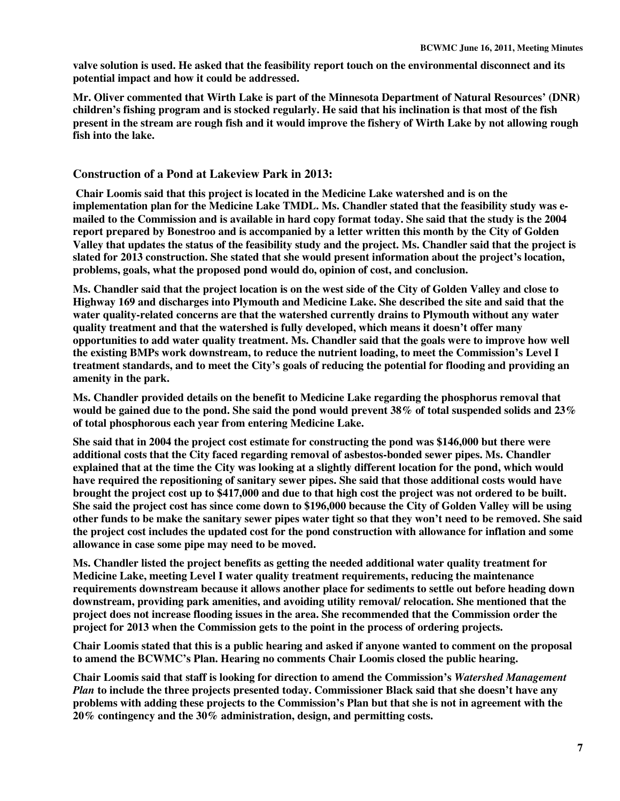**valve solution is used. He asked that the feasibility report touch on the environmental disconnect and its potential impact and how it could be addressed.** 

**Mr. Oliver commented that Wirth Lake is part of the Minnesota Department of Natural Resources' (DNR) children's fishing program and is stocked regularly. He said that his inclination is that most of the fish present in the stream are rough fish and it would improve the fishery of Wirth Lake by not allowing rough fish into the lake.** 

## **Construction of a Pond at Lakeview Park in 2013:**

 **Chair Loomis said that this project is located in the Medicine Lake watershed and is on the implementation plan for the Medicine Lake TMDL. Ms. Chandler stated that the feasibility study was emailed to the Commission and is available in hard copy format today. She said that the study is the 2004 report prepared by Bonestroo and is accompanied by a letter written this month by the City of Golden Valley that updates the status of the feasibility study and the project. Ms. Chandler said that the project is slated for 2013 construction. She stated that she would present information about the project's location, problems, goals, what the proposed pond would do, opinion of cost, and conclusion.** 

**Ms. Chandler said that the project location is on the west side of the City of Golden Valley and close to Highway 169 and discharges into Plymouth and Medicine Lake. She described the site and said that the water quality-related concerns are that the watershed currently drains to Plymouth without any water quality treatment and that the watershed is fully developed, which means it doesn't offer many opportunities to add water quality treatment. Ms. Chandler said that the goals were to improve how well the existing BMPs work downstream, to reduce the nutrient loading, to meet the Commission's Level I treatment standards, and to meet the City's goals of reducing the potential for flooding and providing an amenity in the park.** 

**Ms. Chandler provided details on the benefit to Medicine Lake regarding the phosphorus removal that would be gained due to the pond. She said the pond would prevent 38% of total suspended solids and 23% of total phosphorous each year from entering Medicine Lake.** 

**She said that in 2004 the project cost estimate for constructing the pond was \$146,000 but there were additional costs that the City faced regarding removal of asbestos-bonded sewer pipes. Ms. Chandler explained that at the time the City was looking at a slightly different location for the pond, which would have required the repositioning of sanitary sewer pipes. She said that those additional costs would have brought the project cost up to \$417,000 and due to that high cost the project was not ordered to be built. She said the project cost has since come down to \$196,000 because the City of Golden Valley will be using other funds to be make the sanitary sewer pipes water tight so that they won't need to be removed. She said the project cost includes the updated cost for the pond construction with allowance for inflation and some allowance in case some pipe may need to be moved.** 

**Ms. Chandler listed the project benefits as getting the needed additional water quality treatment for Medicine Lake, meeting Level I water quality treatment requirements, reducing the maintenance requirements downstream because it allows another place for sediments to settle out before heading down downstream, providing park amenities, and avoiding utility removal/ relocation. She mentioned that the project does not increase flooding issues in the area. She recommended that the Commission order the project for 2013 when the Commission gets to the point in the process of ordering projects.** 

**Chair Loomis stated that this is a public hearing and asked if anyone wanted to comment on the proposal to amend the BCWMC's Plan. Hearing no comments Chair Loomis closed the public hearing.** 

**Chair Loomis said that staff is looking for direction to amend the Commission's** *Watershed Management Plan* **to include the three projects presented today. Commissioner Black said that she doesn't have any problems with adding these projects to the Commission's Plan but that she is not in agreement with the 20% contingency and the 30% administration, design, and permitting costs.**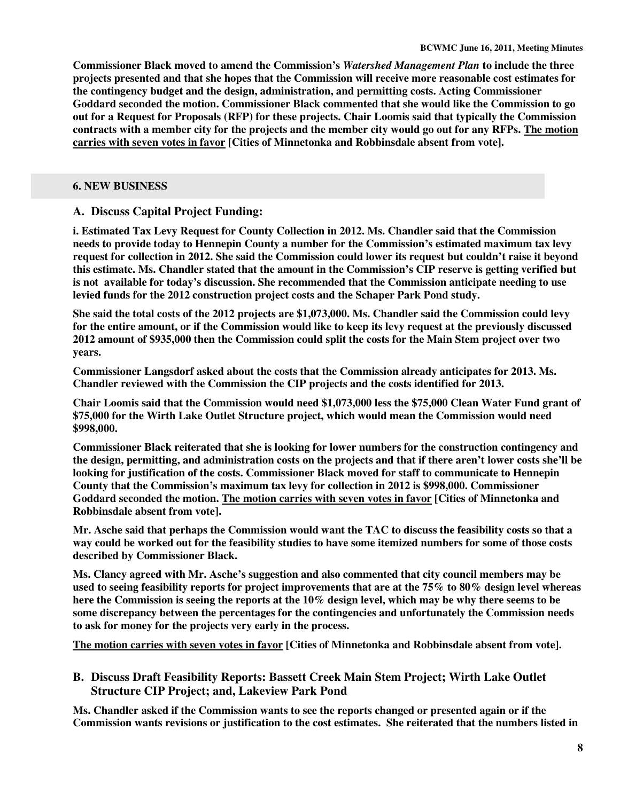**Commissioner Black moved to amend the Commission's** *Watershed Management Plan* **to include the three projects presented and that she hopes that the Commission will receive more reasonable cost estimates for the contingency budget and the design, administration, and permitting costs. Acting Commissioner Goddard seconded the motion. Commissioner Black commented that she would like the Commission to go out for a Request for Proposals (RFP) for these projects. Chair Loomis said that typically the Commission contracts with a member city for the projects and the member city would go out for any RFPs. The motion carries with seven votes in favor [Cities of Minnetonka and Robbinsdale absent from vote].** 

#### **6. NEW BUSINESS**

# **A. Discuss Capital Project Funding:**

**i. Estimated Tax Levy Request for County Collection in 2012. Ms. Chandler said that the Commission needs to provide today to Hennepin County a number for the Commission's estimated maximum tax levy request for collection in 2012. She said the Commission could lower its request but couldn't raise it beyond this estimate. Ms. Chandler stated that the amount in the Commission's CIP reserve is getting verified but is not available for today's discussion. She recommended that the Commission anticipate needing to use levied funds for the 2012 construction project costs and the Schaper Park Pond study.** 

**She said the total costs of the 2012 projects are \$1,073,000. Ms. Chandler said the Commission could levy for the entire amount, or if the Commission would like to keep its levy request at the previously discussed 2012 amount of \$935,000 then the Commission could split the costs for the Main Stem project over two years.** 

**Commissioner Langsdorf asked about the costs that the Commission already anticipates for 2013. Ms. Chandler reviewed with the Commission the CIP projects and the costs identified for 2013.** 

**Chair Loomis said that the Commission would need \$1,073,000 less the \$75,000 Clean Water Fund grant of \$75,000 for the Wirth Lake Outlet Structure project, which would mean the Commission would need \$998,000.** 

**Commissioner Black reiterated that she is looking for lower numbers for the construction contingency and the design, permitting, and administration costs on the projects and that if there aren't lower costs she'll be looking for justification of the costs. Commissioner Black moved for staff to communicate to Hennepin County that the Commission's maximum tax levy for collection in 2012 is \$998,000. Commissioner Goddard seconded the motion. The motion carries with seven votes in favor [Cities of Minnetonka and Robbinsdale absent from vote].** 

**Mr. Asche said that perhaps the Commission would want the TAC to discuss the feasibility costs so that a way could be worked out for the feasibility studies to have some itemized numbers for some of those costs described by Commissioner Black.** 

**Ms. Clancy agreed with Mr. Asche's suggestion and also commented that city council members may be used to seeing feasibility reports for project improvements that are at the 75% to 80% design level whereas here the Commission is seeing the reports at the 10% design level, which may be why there seems to be some discrepancy between the percentages for the contingencies and unfortunately the Commission needs to ask for money for the projects very early in the process.** 

**The motion carries with seven votes in favor [Cities of Minnetonka and Robbinsdale absent from vote].** 

**B. Discuss Draft Feasibility Reports: Bassett Creek Main Stem Project; Wirth Lake Outlet Structure CIP Project; and, Lakeview Park Pond** 

**Ms. Chandler asked if the Commission wants to see the reports changed or presented again or if the Commission wants revisions or justification to the cost estimates. She reiterated that the numbers listed in**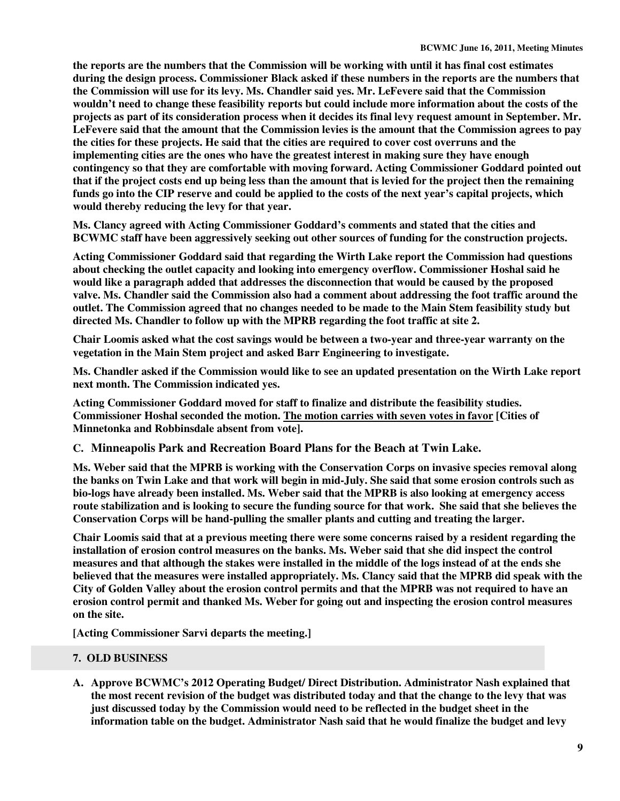**the reports are the numbers that the Commission will be working with until it has final cost estimates during the design process. Commissioner Black asked if these numbers in the reports are the numbers that the Commission will use for its levy. Ms. Chandler said yes. Mr. LeFevere said that the Commission wouldn't need to change these feasibility reports but could include more information about the costs of the projects as part of its consideration process when it decides its final levy request amount in September. Mr. LeFevere said that the amount that the Commission levies is the amount that the Commission agrees to pay the cities for these projects. He said that the cities are required to cover cost overruns and the implementing cities are the ones who have the greatest interest in making sure they have enough contingency so that they are comfortable with moving forward. Acting Commissioner Goddard pointed out that if the project costs end up being less than the amount that is levied for the project then the remaining funds go into the CIP reserve and could be applied to the costs of the next year's capital projects, which would thereby reducing the levy for that year.** 

**Ms. Clancy agreed with Acting Commissioner Goddard's comments and stated that the cities and BCWMC staff have been aggressively seeking out other sources of funding for the construction projects.** 

**Acting Commissioner Goddard said that regarding the Wirth Lake report the Commission had questions about checking the outlet capacity and looking into emergency overflow. Commissioner Hoshal said he would like a paragraph added that addresses the disconnection that would be caused by the proposed valve. Ms. Chandler said the Commission also had a comment about addressing the foot traffic around the outlet. The Commission agreed that no changes needed to be made to the Main Stem feasibility study but directed Ms. Chandler to follow up with the MPRB regarding the foot traffic at site 2.** 

**Chair Loomis asked what the cost savings would be between a two-year and three-year warranty on the vegetation in the Main Stem project and asked Barr Engineering to investigate.** 

**Ms. Chandler asked if the Commission would like to see an updated presentation on the Wirth Lake report next month. The Commission indicated yes.** 

**Acting Commissioner Goddard moved for staff to finalize and distribute the feasibility studies. Commissioner Hoshal seconded the motion. The motion carries with seven votes in favor [Cities of Minnetonka and Robbinsdale absent from vote].** 

**C. Minneapolis Park and Recreation Board Plans for the Beach at Twin Lake.** 

**Ms. Weber said that the MPRB is working with the Conservation Corps on invasive species removal along the banks on Twin Lake and that work will begin in mid-July. She said that some erosion controls such as bio-logs have already been installed. Ms. Weber said that the MPRB is also looking at emergency access route stabilization and is looking to secure the funding source for that work. She said that she believes the Conservation Corps will be hand-pulling the smaller plants and cutting and treating the larger.** 

**Chair Loomis said that at a previous meeting there were some concerns raised by a resident regarding the installation of erosion control measures on the banks. Ms. Weber said that she did inspect the control measures and that although the stakes were installed in the middle of the logs instead of at the ends she believed that the measures were installed appropriately. Ms. Clancy said that the MPRB did speak with the City of Golden Valley about the erosion control permits and that the MPRB was not required to have an erosion control permit and thanked Ms. Weber for going out and inspecting the erosion control measures on the site.** 

**[Acting Commissioner Sarvi departs the meeting.]** 

# **7. OLD BUSINESS**

**A. Approve BCWMC's 2012 Operating Budget/ Direct Distribution. Administrator Nash explained that the most recent revision of the budget was distributed today and that the change to the levy that was just discussed today by the Commission would need to be reflected in the budget sheet in the information table on the budget. Administrator Nash said that he would finalize the budget and levy**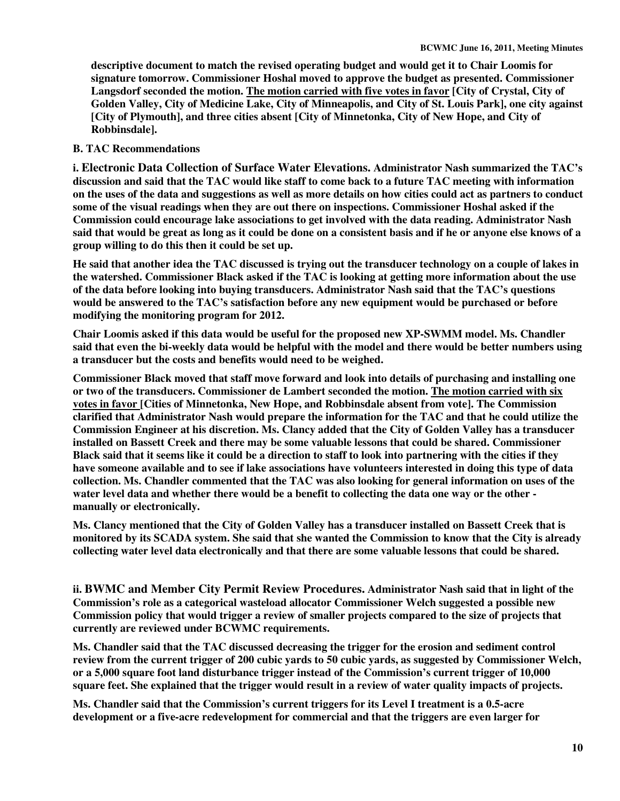**descriptive document to match the revised operating budget and would get it to Chair Loomis for signature tomorrow. Commissioner Hoshal moved to approve the budget as presented. Commissioner Langsdorf seconded the motion. The motion carried with five votes in favor [City of Crystal, City of Golden Valley, City of Medicine Lake, City of Minneapolis, and City of St. Louis Park], one city against [City of Plymouth], and three cities absent [City of Minnetonka, City of New Hope, and City of Robbinsdale].** 

## **B. TAC Recommendations**

**i. Electronic Data Collection of Surface Water Elevations. Administrator Nash summarized the TAC's discussion and said that the TAC would like staff to come back to a future TAC meeting with information on the uses of the data and suggestions as well as more details on how cities could act as partners to conduct some of the visual readings when they are out there on inspections. Commissioner Hoshal asked if the Commission could encourage lake associations to get involved with the data reading. Administrator Nash said that would be great as long as it could be done on a consistent basis and if he or anyone else knows of a group willing to do this then it could be set up.** 

**He said that another idea the TAC discussed is trying out the transducer technology on a couple of lakes in the watershed. Commissioner Black asked if the TAC is looking at getting more information about the use of the data before looking into buying transducers. Administrator Nash said that the TAC's questions would be answered to the TAC's satisfaction before any new equipment would be purchased or before modifying the monitoring program for 2012.** 

**Chair Loomis asked if this data would be useful for the proposed new XP-SWMM model. Ms. Chandler said that even the bi-weekly data would be helpful with the model and there would be better numbers using a transducer but the costs and benefits would need to be weighed.** 

**Commissioner Black moved that staff move forward and look into details of purchasing and installing one or two of the transducers. Commissioner de Lambert seconded the motion. The motion carried with six votes in favor [Cities of Minnetonka, New Hope, and Robbinsdale absent from vote]. The Commission clarified that Administrator Nash would prepare the information for the TAC and that he could utilize the Commission Engineer at his discretion. Ms. Clancy added that the City of Golden Valley has a transducer installed on Bassett Creek and there may be some valuable lessons that could be shared. Commissioner Black said that it seems like it could be a direction to staff to look into partnering with the cities if they have someone available and to see if lake associations have volunteers interested in doing this type of data collection. Ms. Chandler commented that the TAC was also looking for general information on uses of the water level data and whether there would be a benefit to collecting the data one way or the other manually or electronically.** 

**Ms. Clancy mentioned that the City of Golden Valley has a transducer installed on Bassett Creek that is monitored by its SCADA system. She said that she wanted the Commission to know that the City is already collecting water level data electronically and that there are some valuable lessons that could be shared.** 

**ii. BWMC and Member City Permit Review Procedures. Administrator Nash said that in light of the Commission's role as a categorical wasteload allocator Commissioner Welch suggested a possible new Commission policy that would trigger a review of smaller projects compared to the size of projects that currently are reviewed under BCWMC requirements.** 

**Ms. Chandler said that the TAC discussed decreasing the trigger for the erosion and sediment control review from the current trigger of 200 cubic yards to 50 cubic yards, as suggested by Commissioner Welch, or a 5,000 square foot land disturbance trigger instead of the Commission's current trigger of 10,000 square feet. She explained that the trigger would result in a review of water quality impacts of projects.** 

**Ms. Chandler said that the Commission's current triggers for its Level I treatment is a 0.5-acre development or a five-acre redevelopment for commercial and that the triggers are even larger for**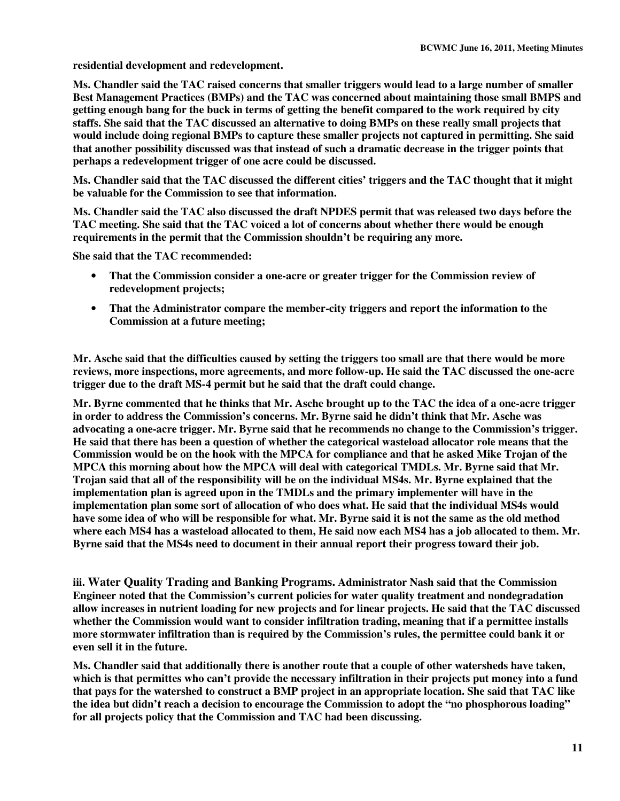**residential development and redevelopment.** 

**Ms. Chandler said the TAC raised concerns that smaller triggers would lead to a large number of smaller Best Management Practices (BMPs) and the TAC was concerned about maintaining those small BMPS and getting enough bang for the buck in terms of getting the benefit compared to the work required by city staffs. She said that the TAC discussed an alternative to doing BMPs on these really small projects that would include doing regional BMPs to capture these smaller projects not captured in permitting. She said that another possibility discussed was that instead of such a dramatic decrease in the trigger points that perhaps a redevelopment trigger of one acre could be discussed.** 

**Ms. Chandler said that the TAC discussed the different cities' triggers and the TAC thought that it might be valuable for the Commission to see that information.** 

**Ms. Chandler said the TAC also discussed the draft NPDES permit that was released two days before the TAC meeting. She said that the TAC voiced a lot of concerns about whether there would be enough requirements in the permit that the Commission shouldn't be requiring any more.** 

**She said that the TAC recommended:** 

- **That the Commission consider a one-acre or greater trigger for the Commission review of redevelopment projects;**
- **That the Administrator compare the member-city triggers and report the information to the Commission at a future meeting;**

**Mr. Asche said that the difficulties caused by setting the triggers too small are that there would be more reviews, more inspections, more agreements, and more follow-up. He said the TAC discussed the one-acre trigger due to the draft MS-4 permit but he said that the draft could change.** 

**Mr. Byrne commented that he thinks that Mr. Asche brought up to the TAC the idea of a one-acre trigger in order to address the Commission's concerns. Mr. Byrne said he didn't think that Mr. Asche was advocating a one-acre trigger. Mr. Byrne said that he recommends no change to the Commission's trigger. He said that there has been a question of whether the categorical wasteload allocator role means that the Commission would be on the hook with the MPCA for compliance and that he asked Mike Trojan of the MPCA this morning about how the MPCA will deal with categorical TMDLs. Mr. Byrne said that Mr. Trojan said that all of the responsibility will be on the individual MS4s. Mr. Byrne explained that the implementation plan is agreed upon in the TMDLs and the primary implementer will have in the implementation plan some sort of allocation of who does what. He said that the individual MS4s would have some idea of who will be responsible for what. Mr. Byrne said it is not the same as the old method where each MS4 has a wasteload allocated to them, He said now each MS4 has a job allocated to them. Mr. Byrne said that the MS4s need to document in their annual report their progress toward their job.** 

**iii. Water Quality Trading and Banking Programs. Administrator Nash said that the Commission Engineer noted that the Commission's current policies for water quality treatment and nondegradation allow increases in nutrient loading for new projects and for linear projects. He said that the TAC discussed whether the Commission would want to consider infiltration trading, meaning that if a permittee installs more stormwater infiltration than is required by the Commission's rules, the permittee could bank it or even sell it in the future.** 

**Ms. Chandler said that additionally there is another route that a couple of other watersheds have taken, which is that permittes who can't provide the necessary infiltration in their projects put money into a fund that pays for the watershed to construct a BMP project in an appropriate location. She said that TAC like the idea but didn't reach a decision to encourage the Commission to adopt the "no phosphorous loading" for all projects policy that the Commission and TAC had been discussing.**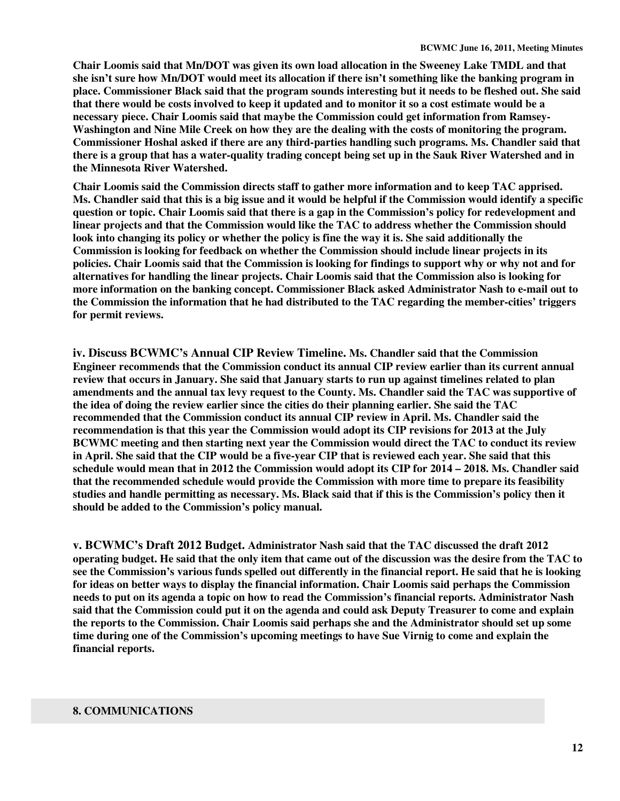**Chair Loomis said that Mn/DOT was given its own load allocation in the Sweeney Lake TMDL and that she isn't sure how Mn/DOT would meet its allocation if there isn't something like the banking program in place. Commissioner Black said that the program sounds interesting but it needs to be fleshed out. She said that there would be costs involved to keep it updated and to monitor it so a cost estimate would be a necessary piece. Chair Loomis said that maybe the Commission could get information from Ramsey-Washington and Nine Mile Creek on how they are the dealing with the costs of monitoring the program. Commissioner Hoshal asked if there are any third-parties handling such programs. Ms. Chandler said that there is a group that has a water-quality trading concept being set up in the Sauk River Watershed and in the Minnesota River Watershed.** 

**Chair Loomis said the Commission directs staff to gather more information and to keep TAC apprised. Ms. Chandler said that this is a big issue and it would be helpful if the Commission would identify a specific question or topic. Chair Loomis said that there is a gap in the Commission's policy for redevelopment and linear projects and that the Commission would like the TAC to address whether the Commission should look into changing its policy or whether the policy is fine the way it is. She said additionally the Commission is looking for feedback on whether the Commission should include linear projects in its policies. Chair Loomis said that the Commission is looking for findings to support why or why not and for alternatives for handling the linear projects. Chair Loomis said that the Commission also is looking for more information on the banking concept. Commissioner Black asked Administrator Nash to e-mail out to the Commission the information that he had distributed to the TAC regarding the member-cities' triggers for permit reviews.** 

**iv. Discuss BCWMC's Annual CIP Review Timeline. Ms. Chandler said that the Commission Engineer recommends that the Commission conduct its annual CIP review earlier than its current annual review that occurs in January. She said that January starts to run up against timelines related to plan amendments and the annual tax levy request to the County. Ms. Chandler said the TAC was supportive of the idea of doing the review earlier since the cities do their planning earlier. She said the TAC recommended that the Commission conduct its annual CIP review in April. Ms. Chandler said the recommendation is that this year the Commission would adopt its CIP revisions for 2013 at the July BCWMC meeting and then starting next year the Commission would direct the TAC to conduct its review in April. She said that the CIP would be a five-year CIP that is reviewed each year. She said that this schedule would mean that in 2012 the Commission would adopt its CIP for 2014 – 2018. Ms. Chandler said that the recommended schedule would provide the Commission with more time to prepare its feasibility studies and handle permitting as necessary. Ms. Black said that if this is the Commission's policy then it should be added to the Commission's policy manual.** 

**v. BCWMC's Draft 2012 Budget. Administrator Nash said that the TAC discussed the draft 2012 operating budget. He said that the only item that came out of the discussion was the desire from the TAC to see the Commission's various funds spelled out differently in the financial report. He said that he is looking for ideas on better ways to display the financial information. Chair Loomis said perhaps the Commission needs to put on its agenda a topic on how to read the Commission's financial reports. Administrator Nash said that the Commission could put it on the agenda and could ask Deputy Treasurer to come and explain the reports to the Commission. Chair Loomis said perhaps she and the Administrator should set up some time during one of the Commission's upcoming meetings to have Sue Virnig to come and explain the financial reports.** 

#### **8. COMMUNICATIONS**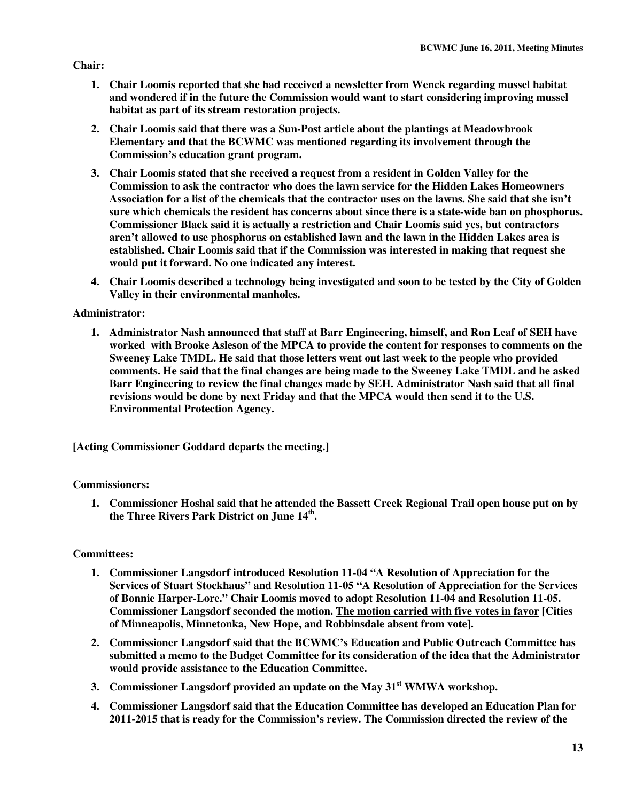## **Chair:**

- **1. Chair Loomis reported that she had received a newsletter from Wenck regarding mussel habitat and wondered if in the future the Commission would want to start considering improving mussel habitat as part of its stream restoration projects.**
- **2. Chair Loomis said that there was a Sun-Post article about the plantings at Meadowbrook Elementary and that the BCWMC was mentioned regarding its involvement through the Commission's education grant program.**
- **3. Chair Loomis stated that she received a request from a resident in Golden Valley for the Commission to ask the contractor who does the lawn service for the Hidden Lakes Homeowners Association for a list of the chemicals that the contractor uses on the lawns. She said that she isn't sure which chemicals the resident has concerns about since there is a state-wide ban on phosphorus. Commissioner Black said it is actually a restriction and Chair Loomis said yes, but contractors aren't allowed to use phosphorus on established lawn and the lawn in the Hidden Lakes area is established. Chair Loomis said that if the Commission was interested in making that request she would put it forward. No one indicated any interest.**
- **4. Chair Loomis described a technology being investigated and soon to be tested by the City of Golden Valley in their environmental manholes.**

# **Administrator:**

**1. Administrator Nash announced that staff at Barr Engineering, himself, and Ron Leaf of SEH have worked with Brooke Asleson of the MPCA to provide the content for responses to comments on the Sweeney Lake TMDL. He said that those letters went out last week to the people who provided comments. He said that the final changes are being made to the Sweeney Lake TMDL and he asked Barr Engineering to review the final changes made by SEH. Administrator Nash said that all final revisions would be done by next Friday and that the MPCA would then send it to the U.S. Environmental Protection Agency.** 

**[Acting Commissioner Goddard departs the meeting.]** 

# **Commissioners:**

**1. Commissioner Hoshal said that he attended the Bassett Creek Regional Trail open house put on by the Three Rivers Park District on June 14th .** 

# **Committees:**

- **1. Commissioner Langsdorf introduced Resolution 11-04 "A Resolution of Appreciation for the Services of Stuart Stockhaus" and Resolution 11-05 "A Resolution of Appreciation for the Services of Bonnie Harper-Lore." Chair Loomis moved to adopt Resolution 11-04 and Resolution 11-05. Commissioner Langsdorf seconded the motion. The motion carried with five votes in favor [Cities of Minneapolis, Minnetonka, New Hope, and Robbinsdale absent from vote].**
- **2. Commissioner Langsdorf said that the BCWMC's Education and Public Outreach Committee has submitted a memo to the Budget Committee for its consideration of the idea that the Administrator would provide assistance to the Education Committee.**
- **3. Commissioner Langsdorf provided an update on the May 31st WMWA workshop.**
- **4. Commissioner Langsdorf said that the Education Committee has developed an Education Plan for 2011-2015 that is ready for the Commission's review. The Commission directed the review of the**